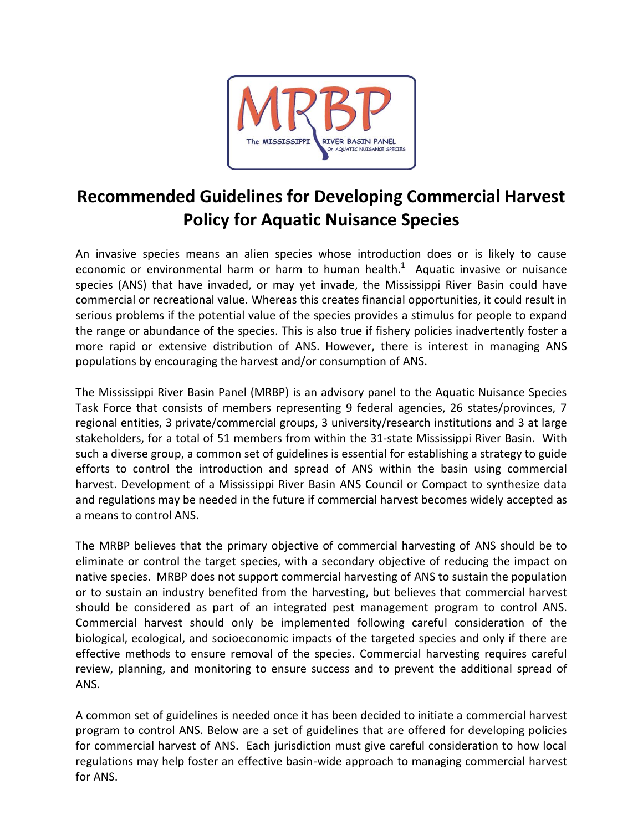

## **Recommended Guidelines for Developing Commercial Harvest Policy for Aquatic Nuisance Species**

An invasive species means an alien species whose introduction does or is likely to cause economic or environmental harm or harm to human health.<sup>1</sup> Aquatic invasive or nuisance species (ANS) that have invaded, or may yet invade, the Mississippi River Basin could have commercial or recreational value. Whereas this creates financial opportunities, it could result in serious problems if the potential value of the species provides a stimulus for people to expand the range or abundance of the species. This is also true if fishery policies inadvertently foster a more rapid or extensive distribution of ANS. However, there is interest in managing ANS populations by encouraging the harvest and/or consumption of ANS.

The Mississippi River Basin Panel (MRBP) is an advisory panel to the Aquatic Nuisance Species Task Force that consists of members representing 9 federal agencies, 26 states/provinces, 7 regional entities, 3 private/commercial groups, 3 university/research institutions and 3 at large stakeholders, for a total of 51 members from within the 31-state Mississippi River Basin. With such a diverse group, a common set of guidelines is essential for establishing a strategy to guide efforts to control the introduction and spread of ANS within the basin using commercial harvest. Development of a Mississippi River Basin ANS Council or Compact to synthesize data and regulations may be needed in the future if commercial harvest becomes widely accepted as a means to control ANS.

The MRBP believes that the primary objective of commercial harvesting of ANS should be to eliminate or control the target species, with a secondary objective of reducing the impact on native species. MRBP does not support commercial harvesting of ANS to sustain the population or to sustain an industry benefited from the harvesting, but believes that commercial harvest should be considered as part of an integrated pest management program to control ANS. Commercial harvest should only be implemented following careful consideration of the biological, ecological, and socioeconomic impacts of the targeted species and only if there are effective methods to ensure removal of the species. Commercial harvesting requires careful review, planning, and monitoring to ensure success and to prevent the additional spread of ANS.

A common set of guidelines is needed once it has been decided to initiate a commercial harvest program to control ANS. Below are a set of guidelines that are offered for developing policies for commercial harvest of ANS. Each jurisdiction must give careful consideration to how local regulations may help foster an effective basin-wide approach to managing commercial harvest for ANS.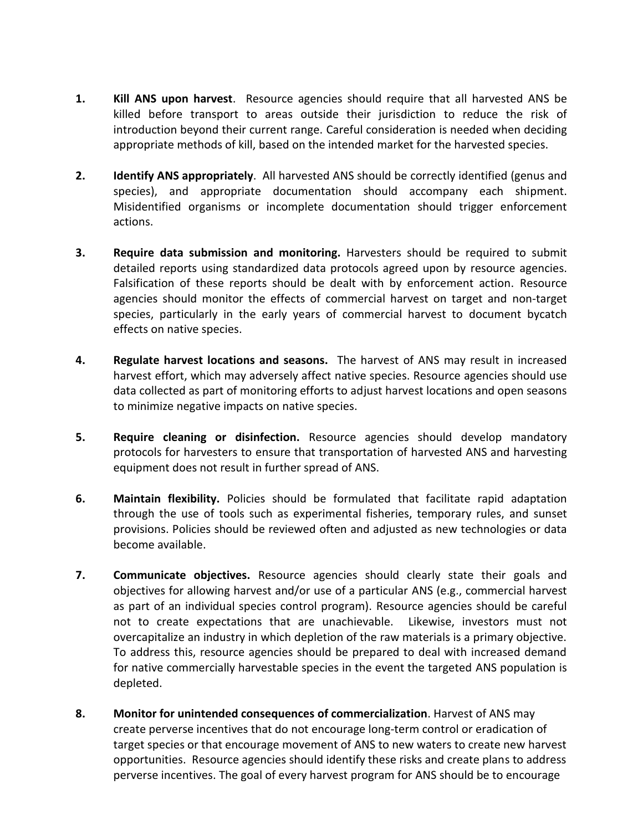- **1. Kill ANS upon harvest**. Resource agencies should require that all harvested ANS be killed before transport to areas outside their jurisdiction to reduce the risk of introduction beyond their current range. Careful consideration is needed when deciding appropriate methods of kill, based on the intended market for the harvested species.
- **2. Identify ANS appropriately**. All harvested ANS should be correctly identified (genus and species), and appropriate documentation should accompany each shipment. Misidentified organisms or incomplete documentation should trigger enforcement actions.
- **3. Require data submission and monitoring.** Harvesters should be required to submit detailed reports using standardized data protocols agreed upon by resource agencies. Falsification of these reports should be dealt with by enforcement action. Resource agencies should monitor the effects of commercial harvest on target and non-target species, particularly in the early years of commercial harvest to document bycatch effects on native species.
- **4. Regulate harvest locations and seasons.** The harvest of ANS may result in increased harvest effort, which may adversely affect native species. Resource agencies should use data collected as part of monitoring efforts to adjust harvest locations and open seasons to minimize negative impacts on native species.
- **5. Require cleaning or disinfection.** Resource agencies should develop mandatory protocols for harvesters to ensure that transportation of harvested ANS and harvesting equipment does not result in further spread of ANS.
- **6. Maintain flexibility.** Policies should be formulated that facilitate rapid adaptation through the use of tools such as experimental fisheries, temporary rules, and sunset provisions. Policies should be reviewed often and adjusted as new technologies or data become available.
- **7. Communicate objectives.** Resource agencies should clearly state their goals and objectives for allowing harvest and/or use of a particular ANS (e.g., commercial harvest as part of an individual species control program). Resource agencies should be careful not to create expectations that are unachievable. Likewise, investors must not overcapitalize an industry in which depletion of the raw materials is a primary objective. To address this, resource agencies should be prepared to deal with increased demand for native commercially harvestable species in the event the targeted ANS population is depleted.
- **8. Monitor for unintended consequences of commercialization**. Harvest of ANS may create perverse incentives that do not encourage long-term control or eradication of target species or that encourage movement of ANS to new waters to create new harvest opportunities. Resource agencies should identify these risks and create plans to address perverse incentives. The goal of every harvest program for ANS should be to encourage